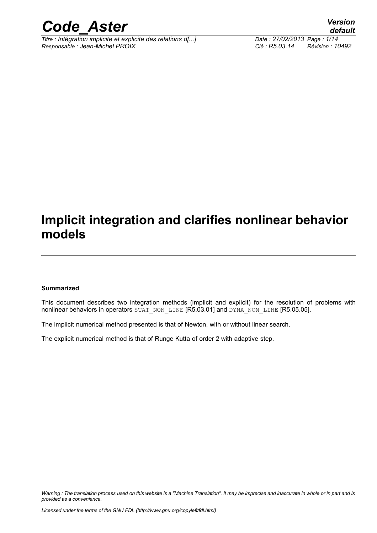

*Titre : Intégration implicite et explicite des relations d[...] Date : 27/02/2013 Page : 1/14 Responsable : Jean-Michel PROIX Clé : R5.03.14 Révision : 10492*

### **Implicit integration and clarifies nonlinear behavior models**

#### **Summarized**

This document describes two integration methods (implicit and explicit) for the resolution of problems with nonlinear behaviors in operators STAT\_NON\_LINE [R5.03.01] and DYNA\_NON\_LINE [R5.05.05].

The implicit numerical method presented is that of Newton, with or without linear search.

The explicit numerical method is that of Runge Kutta of order 2 with adaptive step.

*Warning : The translation process used on this website is a "Machine Translation". It may be imprecise and inaccurate in whole or in part and is provided as a convenience.*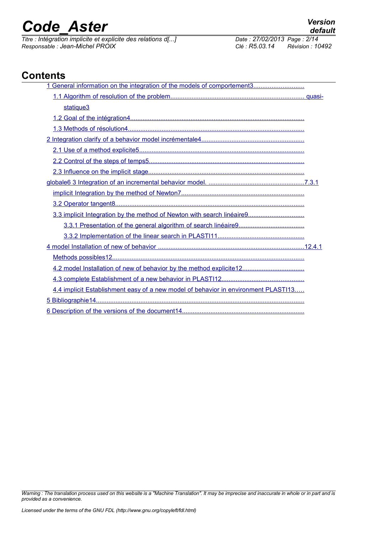*Titre : Intégration implicite et explicite des relations d[...] Date : 27/02/2013 Page : 2/14 Responsable : Jean-Michel PROIX Clé : R5.03.14 Révision : 10492*

#### **Contents**

| 1 General information on the integration of the models of comportement3            |
|------------------------------------------------------------------------------------|
|                                                                                    |
| statique <sub>3</sub>                                                              |
|                                                                                    |
|                                                                                    |
|                                                                                    |
|                                                                                    |
|                                                                                    |
|                                                                                    |
|                                                                                    |
|                                                                                    |
|                                                                                    |
| 3.3 implicit Integration by the method of Newton with search linéaire9             |
|                                                                                    |
|                                                                                    |
|                                                                                    |
|                                                                                    |
| 4.2 model Installation of new of behavior by the method explicite12                |
|                                                                                    |
| 4.4 implicit Establishment easy of a new model of behavior in environment PLASTI13 |
|                                                                                    |
|                                                                                    |

*Warning : The translation process used on this website is a "Machine Translation". It may be imprecise and inaccurate in whole or in part and is provided as a convenience.*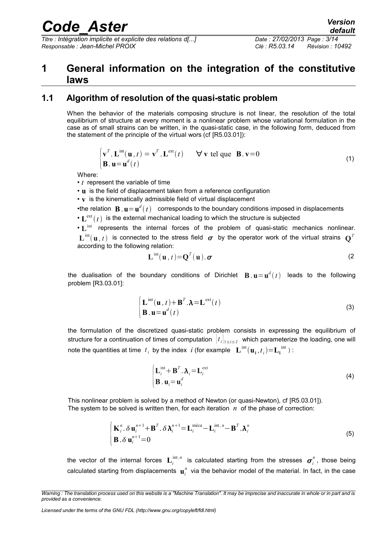*Titre : Intégration implicite et explicite des relations d[...] Date : 27/02/2013 Page : 3/14 Responsable : Jean-Michel PROIX Clé : R5.03.14 Révision : 10492*

#### <span id="page-2-0"></span>**1 General information on the integration of the constitutive laws**

#### **1.1 Algorithm of resolution of the quasi-static problem**

<span id="page-2-1"></span>When the behavior of the materials composing structure is not linear, the resolution of the total equilibrium of structure at every moment is a nonlinear problem whose variational formulation in the case as of small strains can be written, in the quasi-static case, in the following form, deduced from the statement of the principle of the virtual wors (cf [R5.03.01]):

$$
\begin{cases}\n\mathbf{v}^T \cdot \mathbf{L}^{\text{int}}(\mathbf{u}, t) = \mathbf{v}^T \cdot \mathbf{L}^{\text{ext}}(t) & \forall \mathbf{v} \text{ tel que } \mathbf{B}. \mathbf{v} = 0 \\
\mathbf{B}. \mathbf{u} = \mathbf{u}^d(t)\n\end{cases}
$$
\n(1)

Where:

• *t* represent the variable of time

• **u** is the field of displacement taken from a reference configuration

• **v** is the kinematically admissible field of virtual displacement

•the relation  $\mathbf{B} \cdot \mathbf{u} = \mathbf{u}^d(t)$  corresponds to the boundary conditions imposed in displacements

 $\cdot$  L<sup>ext</sup> $(t)$  is the external mechanical loading to which the structure is subjected

• **L** int represents the internal forces of the problem of quasi-static mechanics nonlinear.  $\mathbf{L}^{\text{int}}(\mathbf{u}^{},t)$  is connected to the stress field  $\bm{\sigma}$  by the operator work of the virtual strains  $\mathbf{Q}^T$ according to the following relation:

$$
\mathbf{L}^{\text{int}}(\mathbf{u},t) = \mathbf{Q}^T(\mathbf{u}).\,\boldsymbol{\sigma}
$$
 (2)

the dualisation of the boundary conditions of Dirichlet  $\mathbf{B}$   $\mathbf{u} \!=\! \mathbf{u}^d(t)$  leads to the following problem [R3.03.01]:

$$
\begin{cases}\n\mathbf{L}^{\text{int}}(\mathbf{u},t) + \mathbf{B}^T \cdot \mathbf{\lambda} = \mathbf{L}^{\text{ext}}(t) \\
\mathbf{B} \cdot \mathbf{u} = \mathbf{u}^d(t)\n\end{cases}
$$
\n(3)

the formulation of the discretized quasi-static problem consists in expressing the equilibrium of structure for a continuation of times of computation  $\bigl|t_i \bigr|_{1\leq i\leq I}$  which parameterize the loading, one will note the quantities at time  $t_i$  by the index *i* (for example  $\mathbf{L}^{\text{int}}(\mathbf{u_i}, t_i)$ = $\mathbf{L_i}^{\text{int}}$ ):

$$
\begin{cases}\n\mathbf{L}_i^{\text{int}} + \mathbf{B}^T \cdot \mathbf{\lambda}_i = \mathbf{L}_i^{\text{ext}} \\
\mathbf{B} \cdot \mathbf{u}_i = \mathbf{u}_i^d\n\end{cases}
$$
\n(4)

This nonlinear problem is solved by a method of Newton (or quasi-Newton), cf [R5.03.01]). The system to be solved is written then, for each iteration *n* of the phase of correction:

$$
\begin{cases}\n\mathbf{K}_{i}^{n} \cdot \delta \mathbf{u}_{i}^{n+1} + \mathbf{B}^{T} \cdot \delta \lambda_{i}^{n+1} = \mathbf{L}_{i}^{\text{méca}} - \mathbf{L}_{i}^{\text{int},n} - \mathbf{B}^{T} \cdot \lambda_{i}^{n} \\
\mathbf{B} \cdot \delta \mathbf{u}_{i}^{n+1} = 0\n\end{cases}
$$
\n(5)

the vector of the internal forces  $\mathbf{L}_i^{\text{int},n}$  is calculated starting from the stresses  $\bm{\sigma}_i^n$ , those being calculated starting from displacements  $\mathbf{u}_i^n$  via the behavior model of the material. In fact, in the case

*Warning : The translation process used on this website is a "Machine Translation". It may be imprecise and inaccurate in whole or in part and is provided as a convenience.*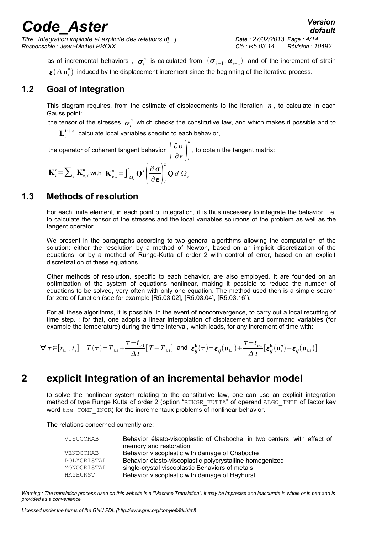*Titre : Intégration implicite et explicite des relations d[...] Date : 27/02/2013 Page : 4/14 Responsable : Jean-Michel PROIX Clé : R5.03.14 Révision : 10492*

*default*

as of incremental behaviors ,  $\bm{\sigma}^n_i$  is calculated from  $(\bm{\sigma}_{i-1},\bm{\alpha}_{i-1})$  and of the increment of strain  $\bm{\varepsilon}(\varDelta \, \mathbf{u}_i^n)$  induced by the displacement increment since the beginning of the iterative process.

#### **1.2 Goal of integration**

<span id="page-3-2"></span>This diagram requires, from the estimate of displacements to the iteration  $n$ , to calculate in each Gauss point:

the tensor of the stresses  $\bm{\sigma}^n_i$  which checks the constitutive law, and which makes it possible and to

 $L_i^{int,n}$  calculate local variables specific to each behavior,

the operator of coherent tangent behavior  $\left|\frac{\partial \sigma}{\partial \epsilon}\right|$  $\overline{\partial \boldsymbol{\epsilon}}\big|_i$ *n* , to obtain the tangent matrix:

$$
\mathbf{K}_{i}^{n} = \sum_{e} \mathbf{K}_{e,i}^{n} \text{ with } \mathbf{K}_{e,i}^{n} = \int_{\Omega_{e}} \mathbf{Q}^{T} \left( \frac{\partial \mathbf{\sigma}}{\partial \mathbf{\epsilon}} \right)_{i}^{n} \mathbf{Q} d \Omega_{e}
$$

#### **1.3 Methods of resolution**

<span id="page-3-1"></span>For each finite element, in each point of integration, it is thus necessary to integrate the behavior, i.e. to calculate the tensor of the stresses and the local variables solutions of the problem as well as the tangent operator.

We present in the paragraphs according to two general algorithms allowing the computation of the solution: either the resolution by a method of Newton, based on an implicit discretization of the equations, or by a method of Runge-Kutta of order 2 with control of error, based on an explicit discretization of these equations.

Other methods of resolution, specific to each behavior, are also employed. It are founded on an optimization of the system of equations nonlinear, making it possible to reduce the number of equations to be solved, very often with only one equation. The method used then is a simple search for zero of function (see for example [R5.03.02], [R5.03.04], [R5.03.16]).

For all these algorithms, it is possible, in the event of nonconvergence, to carry out a local recutting of time step. ; for that, one adopts a linear interpolation of displacement and command variables (for example the temperature) during the time interval, which leads, for any increment of time with:

$$
\forall \tau \in [t_{i-1}, t_i] \quad T(\tau) = T_{i-1} + \frac{\tau - t_{i-1}}{\Delta t} [T - T_{i-1}] \text{ and } \varepsilon_{ij}^k(\tau) = \varepsilon_{ij}(\mathbf{u}_{i-1}) + \frac{\tau - t_{i-1}}{\Delta t} [\varepsilon_{ij}^k(\mathbf{u}_i^n) - \varepsilon_{ij}(\mathbf{u}_{i-1})]
$$

#### **2 explicit Integration of an incremental behavior model**

<span id="page-3-0"></span>to solve the nonlinear system relating to the constitutive law, one can use an explicit integration method of type Runge Kutta of order 2 (option "RUNGE\_KUTTA" of operand ALGO\_INTE of factor key word the COMP INCR) for the incrémentaux problems of nonlinear behavior.

The relations concerned currently are:

| VISCOCHAB   | Behavior élasto-viscoplastic of Chaboche, in two centers, with effect of<br>memory and restoration |
|-------------|----------------------------------------------------------------------------------------------------|
| VENDOCHAB   | Behavior viscoplastic with damage of Chaboche                                                      |
| POLYCRISTAL | Behavior élasto-viscoplastic polycrystalline homogenized                                           |
| MONOCRISTAL | single-crystal viscoplastic Behaviors of metals                                                    |
| HAYHURST    | Behavior viscoplastic with damage of Hayhurst                                                      |

*Warning : The translation process used on this website is a "Machine Translation". It may be imprecise and inaccurate in whole or in part and is provided as a convenience.*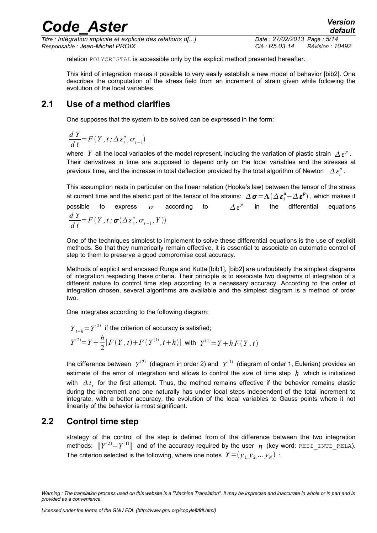| <b>Code Aster</b> | <b>Version</b> |
|-------------------|----------------|
|                   | default        |

*Titre : Intégration implicite et explicite des relations d[...] Date : 27/02/2013 Page : 5/14 Responsable : Jean-Michel PROIX Clé : R5.03.14 Révision : 10492*

relation POLYCRISTAL is accessible only by the explicit method presented hereafter.

This kind of integration makes it possible to very easily establish a new model of behavior [bib2]. One describes the computation of the stress field from an increment of strain given while following the evolution of the local variables.

#### **2.1 Use of a method clarifies**

<span id="page-4-1"></span>One supposes that the system to be solved can be expressed in the form:

$$
\frac{dY}{dt} = F(Y, t; \Delta \varepsilon_i^n, \sigma_{i-1})
$$

where Y all the local variables of the model represent, including the variation of plastic strain  $\Delta \, \varepsilon^p$ . Their derivatives in time are supposed to depend only on the local variables and the stresses at previous time, and the increase in total deflection provided by the total algorithm of Newton  $\varDelta\,\varepsilon_i^{\,n}$  .

This assumption rests in particular on the linear relation (Hooke's law) between the tensor of the stress at current time and the elastic part of the tensor of the strains:  $\,\Delta\,\pmb\sigma\!=\!\bf A(\Delta\,\pmb\varepsilon_i^{\bf n}\!-\!\Delta\,\pmb\varepsilon^{\bf p})$  , which makes it possible to express  $\sigma$  according to <sup>*p*</sup> in the differential equations *d Y*  $\frac{d}{dt}$  *t* = *F*  $(Y, t; \sigma(\Delta \varepsilon_i^n, \sigma_{i-1}, Y))$ 

One of the techniques simplest to implement to solve these differential equations is the use of explicit methods. So that they numerically remain effective, it is essential to associate an automatic control of step to them to preserve a good compromise cost accuracy.

Methods of explicit and encased Runge and Kutta [bib1], [bib2] are undoubtedly the simplest diagrams of integration respecting these criteria. Their principle is to associate two diagrams of integration of a different nature to control time step according to a necessary accuracy. According to the order of integration chosen, several algorithms are available and the simplest diagram is a method of order two.

One integrates according to the following diagram:

$$
Y_{t+h} = Y^{(2)}
$$
 if the criterion of accuracy is satisfied;  

$$
Y^{(2)} = Y + \frac{h}{2} [F(Y, t) + F(Y^{(1)}, t+h)]
$$
 with 
$$
Y^{(1)} = Y + h F(Y, t)
$$

the difference between  $\;Y^{(2)}\;$  (diagram in order 2) and  $\;Y^{(1)}\;$  (diagram of order 1, Eulerian) provides an estimate of the error of integration and allows to control the size of time step *h* which is initialized with  $\Delta t_i$  for the first attempt. Thus, the method remains effective if the behavior remains elastic during the increment and one naturally has under local steps independent of the total increment to integrate, with a better accuracy, the evolution of the local variables to Gauss points where it not linearity of the behavior is most significant.

#### **2.2 Control time step**

<span id="page-4-0"></span>strategy of the control of the step is defined from of the difference between the two integration methods:  $\|Y^{(2)} - Y^{(1)}\|$  and of the accuracy required by the user  $\, \eta \,$  (key word: <code>RESI\_INTE\_RELA</code>). The criterion selected is the following, where one notes  $\;Y\!=\!(\mathcal{y}_{1\!\mathcal{y}_{2}\!}\dots\mathcal{y}_{N})\,$  :

*Warning : The translation process used on this website is a "Machine Translation". It may be imprecise and inaccurate in whole or in part and is provided as a convenience.*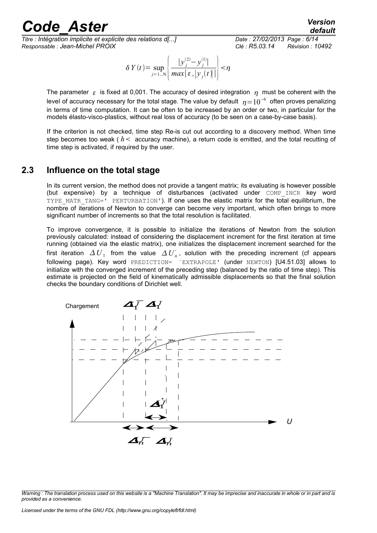*Titre : Intégration implicite et explicite des relations d[...] Date : 27/02/2013 Page : 6/14 Responsable : Jean-Michel PROIX Clé : R5.03.14 Révision : 10492*

$$
\frac{\text{default}}{\frac{7}{02}{2013 \text{ Page}: 6}{14}}
$$

$$
\delta Y(t) = \sup_{j=1...N} \left\{ \frac{|y_j^{(2)} - y_j^{(1)}|}{\max[\varepsilon, |y_j(t)|]} \right\} < \eta
$$

The parameter  $\epsilon$  is fixed at 0,001. The accuracy of desired integration  $\eta$  must be coherent with the level of accuracy necessary for the total stage. The value by default  $\,\eta\!=\!10^{-6}\,$  often proves penalizing in terms of time computation. It can be often to be increased by an order or two, in particular for the models élasto-visco-plastics, without real loss of accuracy (to be seen on a case-by-case basis).

If the criterion is not checked, time step Re-is cut out according to a discovery method. When time step becomes too weak  $(h <$  accuracy machine), a return code is emitted, and the total recutting of time step is activated, if required by the user.

#### **2.3 Influence on the total stage**

<span id="page-5-0"></span>In its current version, the method does not provide a tangent matrix; its evaluating is however possible (but expensive) by a technique of disturbances (activated under COMP\_INCR key word TYPE MATR TANG=' PERTURBATION'). If one uses the elastic matrix for the total equilibrium, the nombre of iterations of Newton to converge can become very important, which often brings to more significant number of increments so that the total resolution is facilitated.

To improve convergence, it is possible to initialize the iterations of Newton from the solution previously calculated: instead of considering the displacement increment for the first iteration at time running (obtained via the elastic matrix), one initializes the displacement increment searched for the first iteration  $\Delta U_{1}^+$  from the value  $\Delta U_{n}^+$ , solution with the preceding increment (cf appears following page). Key word PREDICTION= `EXTRAPOLE' (under NEWTON) [U4.51.03] allows to initialize with the converged increment of the preceding step (balanced by the ratio of time step). This estimate is projected on the field of kinematically admissible displacements so that the final solution checks the boundary conditions of Dirichlet well.



*Warning : The translation process used on this website is a "Machine Translation". It may be imprecise and inaccurate in whole or in part and is provided as a convenience.*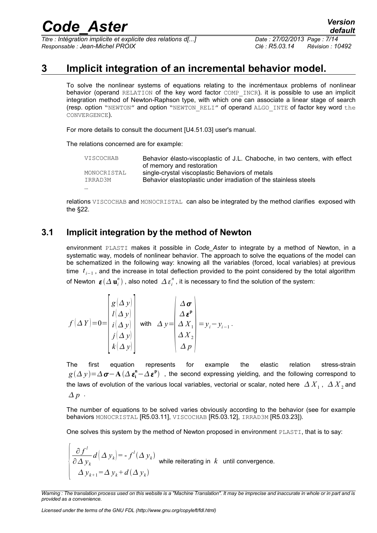*Titre : Intégration implicite et explicite des relations d[...] Date : 27/02/2013 Page : 7/14 Responsable : Jean-Michel PROIX Clé : R5.03.14 Révision : 10492*

#### **3 Implicit integration of an incremental behavior model.**

<span id="page-6-1"></span>To solve the nonlinear systems of equations relating to the incrémentaux problems of nonlinear behavior (operand RELATION of the key word factor COMP\_INCR). it is possible to use an implicit integration method of Newton-Raphson type, with which one can associate a linear stage of search (resp. option "NEWTON" and option "NEWTON RELI" of operand ALGO INTE of factor key word the CONVERGENCE).

For more details to consult the document [U4.51.03] user's manual.

The relations concerned are for example:

| VISCOCHAB              | Behavior élasto-viscoplastic of J.L. Chaboche, in two centers, with effect<br>of memory and restoration             |
|------------------------|---------------------------------------------------------------------------------------------------------------------|
| MONOCRISTAL<br>IRRAD3M | single-crystal viscoplastic Behaviors of metals<br>Behavior elastoplastic under irradiation of the stainless steels |
| $\cdots$               |                                                                                                                     |

relations VISCOCHAB and MONOCRISTAL can also be integrated by the method clarifies exposed with the §[22.](#page-3-0)

#### **3.1 Implicit integration by the method of Newton**

<span id="page-6-0"></span>environment PLASTI makes it possible in *Code\_Aster* to integrate by a method of Newton, in a systematic way, models of nonlinear behavior. The approach to solve the equations of the model can be schematized in the following way: knowing all the variables (forced, local variables) at previous time *t*<sub>i−1</sub>, and the increase in total deflection provided to the point considered by the total algorithm of Newton  $\bm{\varepsilon}(\varDelta\,\mathbf{u}_i^n)$  , also noted  $\varDelta\,\varepsilon_i^n$  , it is necessary to find the solution of the system:

$$
f(\Delta Y) = 0 = \begin{bmatrix} g(\Delta y) \\ l(\Delta y) \\ i(\Delta y) \\ j(\Delta y) \\ k(\Delta y) \end{bmatrix} \text{ with } \Delta y = \begin{bmatrix} \Delta \sigma \\ \Delta \epsilon^{\mathbf{p}} \\ \Delta X_1 \\ \Delta X_2 \\ \Delta X_2 \\ \Delta p \end{bmatrix} = y_i - y_{i-1}.
$$

The first equation represents for example the elastic relation stress-strain  $g(\Delta y)$ = $\Delta \bm{\sigma}-\mathbf{A}$   $(\Delta\ \bm{\varepsilon_i^n}-\Delta\ \bm{\varepsilon^p})\;$  , the second expressing yielding, and the following correspond to the laws of evolution of the various local variables, vectorial or scalar, noted here  $\,\varDelta\,X_1^{}$  ,  $\,\varDelta\,X_2^{}$  and  $\Delta p$ .

The number of equations to be solved varies obviously according to the behavior (see for example behaviors MONOCRISTAL [R5.03.11], VISCOCHAB [R5.03.12], IRRAD3M [R5.03.23]).

One solves this system by the method of Newton proposed in environment PLASTI, that is to say:

$$
\begin{cases}\n\frac{\partial f^l}{\partial \Delta y_k} d(\Delta y_k) = -f^l(\Delta y_k) \\
\Delta y_{k+1} = \Delta y_k + d(\Delta y_k)\n\end{cases}
$$
 while reiterating in  $k$  until convergence.

*Warning : The translation process used on this website is a "Machine Translation". It may be imprecise and inaccurate in whole or in part and is provided as a convenience.*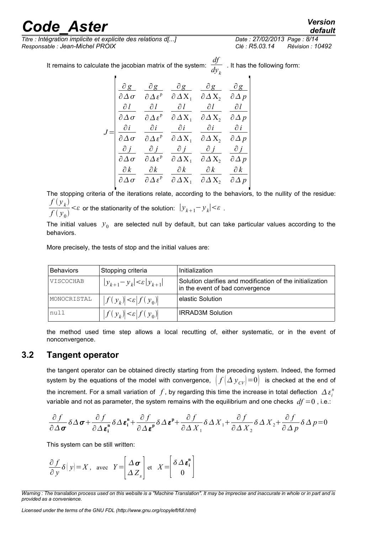*Titre : Intégration implicite et explicite des relations d[...] Date : 27/02/2013 Page : 8/14 Responsable : Jean-Michel PROIX Clé : R5.03.14 Révision : 10492*

 $\overline{J}$ 

It remains to calculate the jacobian matrix of the system: *df* . It has the following form:

|                          |                                       | $\epsilon$ are pacopian matrix of the system. |                     |  |
|--------------------------|---------------------------------------|-----------------------------------------------|---------------------|--|
|                          |                                       |                                               |                     |  |
| $\partial \Delta \sigma$ | $\partial \Delta \varepsilon^{\rm p}$ | $\partial \Delta X_1$ $\partial \Delta X_2$   | $\partial \Delta p$ |  |
|                          |                                       |                                               |                     |  |

|              |              | $\partial l$                                                                                                                          | $\partial l$ | дl                  |
|--------------|--------------|---------------------------------------------------------------------------------------------------------------------------------------|--------------|---------------------|
|              |              | $\partial \Delta \sigma$ $\partial \Delta \varepsilon^{\mathfrak{p}}$ $\partial \Delta X_1$ $\partial \Delta X_2$ $\partial \Delta p$ |              |                     |
| $\partial i$ | $\partial i$ | $\partial i$                                                                                                                          | $\partial i$ | $\partial i$        |
|              |              | $\partial \Delta \sigma$ $\partial \Delta \varepsilon^p$ $\partial \Delta X_1$ $\partial \Delta X_2$ $\partial \Delta p$              |              |                     |
| $\partial i$ |              | $\partial j$ $\partial j$ $\partial j$                                                                                                |              | $\partial i$        |
|              |              | $\partial \Delta \sigma$ $\partial \Delta \varepsilon^{\mathfrak{p}}$ $\partial \Delta X_1$ $\partial \Delta X_2$ $\partial \Delta p$ |              |                     |
| $\partial k$ | $\partial k$ | $\partial k$                                                                                                                          | $\partial k$ | $\partial k$        |
|              |              | $\partial \Delta \varepsilon^{\text{p}}$ $\partial \Delta X_1$ $\partial \Delta X_2$                                                  |              | $\partial \Delta p$ |

The stopping criteria of the iterations relate, according to the behaviors, to the nullity of the residue:  $f(y_k)$ 

 $\frac{f'(y_k)}{f(y_0)} < \varepsilon$  or the stationarity of the solution:  $|y_{k+1} - y_k| < \varepsilon$ .

The initial values  $y_0$  are selected null by default, but can take particular values according to the behaviors.

More precisely, the tests of stop and the initial values are:

| <b>Behaviors</b> | Stopping criteria                       | Initialization                                                                               |
|------------------|-----------------------------------------|----------------------------------------------------------------------------------------------|
| VISCOCHAB        | $ y_{k+1}-y_k  < \varepsilon  y_{k+1} $ | Solution clarifies and modification of the initialization<br>in the event of bad convergence |
| MONOCRISTAL      | $\ f(y_k)  < \varepsilon  f(y_0) $      | elastic Solution                                                                             |
| null             | $\ f(y_k)  < \varepsilon  f(y_0) $      | <b>IRRAD3M Solution</b>                                                                      |

the method used time step allows a local recutting of, either systematic, or in the event of nonconvergence.

#### **3.2 Tangent operator**

<span id="page-7-0"></span>the tangent operator can be obtained directly starting from the preceding system. Indeed, the formed system by the equations of the model with convergence,  $|f(\Delta y_{CV})=0|$  is checked at the end of the increment. For a small variation of  $\,f$  , by regarding this time the increase in total deflection  $\,\Delta\,\varepsilon_i^n\,$ variable and not as parameter, the system remains with the equilibrium and one checks  $df = 0$ , i.e.:

$$
\frac{\partial f}{\partial \Delta \sigma} \delta \Delta \sigma + \frac{\partial f}{\partial \Delta \epsilon_i^n} \delta \Delta \epsilon_i^n + \frac{\partial f}{\partial \Delta \epsilon_i^n} \delta \Delta \epsilon_i^n + \frac{\partial f}{\partial \Delta X_1} \delta \Delta X_1 + \frac{\partial f}{\partial \Delta X_2} \delta \Delta X_2 + \frac{\partial f}{\partial \Delta p} \delta \Delta p = 0
$$

This system can be still written:

$$
\frac{\partial f}{\partial y} \delta(y) = X, \text{ avec } Y = \begin{bmatrix} \Delta \boldsymbol{\sigma} \\ \Delta Z_s \end{bmatrix} \text{ et } X = \begin{bmatrix} \delta \Delta \boldsymbol{\varepsilon}_i^n \\ 0 \end{bmatrix}.
$$

*Warning : The translation process used on this website is a "Machine Translation". It may be imprecise and inaccurate in whole or in part and is provided as a convenience.*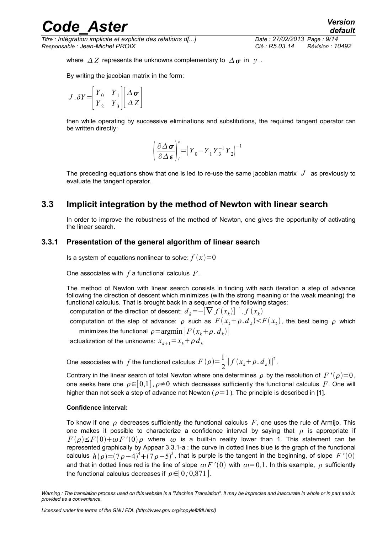*Titre : Intégration implicite et explicite des relations d[...] Date : 27/02/2013 Page : 9/14 Responsable : Jean-Michel PROIX Clé : R5.03.14 Révision : 10492*

*default*

where  $\Delta Z$  represents the unknowns complementary to  $\Delta \sigma$  in *y*.

By writing the jacobian matrix in the form:

$$
J.\delta Y = \begin{bmatrix} Y_0 & Y_1 \\ Y_2 & Y_3 \end{bmatrix} \begin{bmatrix} \Delta \boldsymbol{\sigma} \\ \Delta Z \end{bmatrix}
$$

then while operating by successive eliminations and substitutions, the required tangent operator can be written directly:

$$
\left(\frac{\partial \Delta \sigma}{\partial \Delta \varepsilon}\right)_i^n = \left(Y_0 - Y_1 Y_3^{-1} Y_2\right)^{-1}
$$

The preceding equations show that one is led to re-use the same jacobian matrix  $J$  as previously to evaluate the tangent operator.

#### **3.3 Implicit integration by the method of Newton with linear search**

<span id="page-8-1"></span>In order to improve the robustness of the method of Newton, one gives the opportunity of activating the linear search.

#### **3.3.1 Presentation of the general algorithm of linear search**

<span id="page-8-0"></span>Is a system of equations nonlinear to solve:  $f(x)=0$ 

One associates with *f* a functional calculus *F*.

The method of Newton with linear search consists in finding with each iteration a step of advance following the direction of descent which minimizes (with the strong meaning or the weak meaning) the functional calculus. That is brought back in a sequence of the following stages:

computation of the direction of descent:  $d_k$ =−[ $\nabla f(x_k)^{-1}.f(x_k)$ 

computation of the step of advance:  $\rho$  such as  $F(x_k+\rho.d_k)$  $\lt F(x_k)$ , the best being  $\rho$  which minimizes the functional  $\rho\!=\!\mathrm{argmin}\big[\,F\, (x^{\phantom{k}}_{k}\!+\!\rho^{\phantom{k}}_{k}^{\phantom{k}}\,d^{\phantom{k}}_{k}^{\phantom{k}}\big) \big]$ 

actualization of the unknowns:  $x_{k+1} = x_k + \rho d_k$ 

One associates with  $\,f$  the functional calculus  $\,F\,(\rho)\!=\!\frac{1}{2}$  $\frac{1}{2}||f(x_k+\rho d_k)||^2$ .

Contrary in the linear search of total Newton where one determines  $\rho$  by the resolution of  $F'(\rho)=0$ , one seeks here one  $\rho \in [0,1]$ ,  $\rho \neq 0$  which decreases sufficiently the functional calculus *F*. One will higher than not seek a step of advance not Newton ( $\rho=1$ ). The principle is described in [1].

#### **Confidence interval:**

To know if one  $\rho$  decreases sufficiently the functional calculus  $F$ , one uses the rule of Armijo. This one makes it possible to characterize a confidence interval by saying that  $\rho$  is appropriate if  $F(\rho) \leq F(0) + \omega F'(0) \rho$  where  $\omega$  is a built-in reality lower than 1. This statement can be represented graphically by [Appear 3.3.1-a](#page-10-1) : the curve in dotted lines blue is the graph of the functional calculus  $h(\rho)$ = $(7\rho-4)^4$ + $(7\rho-5)^3$ , that is purple is the tangent in the beginning, of slope  $F$  ' $(0)$ and that in dotted lines red is the line of slope  $\omega F'(0)$  with  $\omega=0.1$ . In this example,  $\rho$  sufficiently the functional calculus decreases if  $\rho \in [0, 0, 871]$ .

*Warning : The translation process used on this website is a "Machine Translation". It may be imprecise and inaccurate in whole or in part and is provided as a convenience.*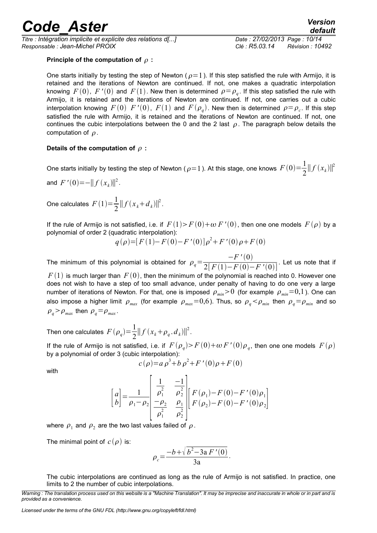*Titre : Intégration implicite et explicite des relations d[...] Date : 27/02/2013 Page : 10/14 Responsable : Jean-Michel PROIX Clé : R5.03.14 Révision : 10492*

#### **Principle of the computation of**  $\rho$ **:**

One starts initially by testing the step of Newton ( $\rho = 1$ ). If this step satisfied the rule with Armijo, it is retained and the iterations of Newton are continued. If not, one makes a quadratic interpolation knowing  $F\left(0\right)$ ,  $F\left(\overline{0}\right)$  and  $F\left(1\right)$ . New then is determined  $\rho \! = \! \rho_{q}$ . If this step satisfied the rule with Armijo, it is retained and the iterations of Newton are continued. If not, one carries out a cubic interpolation knowing  $F\left(0\right)$   $F\left'(0\right)$ ,  $F(1)$  and  $F\left(\rho_{q}\right)$ . New then is determined  $\rho\!=\!\rho_{c}$ . If this step satisfied the rule with Armijo, it is retained and the iterations of Newton are continued. If not, one continues the cubic interpolations between the 0 and the 2 last  $\rho$ . The paragraph below details the computation of  $\rho$ .

#### Details of the computation of  $\rho$ :

One starts initially by testing the step of Newton (  $\rho$  = 1 ). At this stage, one knows  $\,F\,(0)\!=\!\frac{1}{2}$  $\frac{1}{2}||f(x_k)||^2$ 

and  $F'(0) = -||f(x_k)||^2$ .

One calculates  $F(1)=\frac{1}{2}$  $\frac{1}{2}||f(x_k+d_k)||^2$ .

If the rule of Armijo is not satisfied, i.e. if  $F(1) > F(0) + \omega F'(0)$ , then one one models  $F(\rho)$  by a polynomial of order 2 (quadratic interpolation):

$$
q(\rho) = [F(1) - F(0) - F'(0)]\rho^{2} + F'(0)\rho + F(0)
$$

The minimum of this polynomial is obtained for  $\rho_q = \frac{-F'(0)}{2[F(1)-F(0)]}$  $\overline{2[F(1)-F(0)-F'(0)]}$ . Let us note that if

 $F(1)$  is much larger than  $F(0)$ , then the minimum of the polynomial is reached into 0. However one does not wish to have a step of too small advance, under penalty of having to do one very a large number of iterations of Newton. For that, one is imposed  $\rho_{min} > 0$  (for example  $\rho_{min} = 0,1$ ). One can also impose a higher limit  $\rho_{max}$  (for example  $\rho_{max}$ =0,6). Thus, so  $\rho_q$ < $\rho_{min}$  then  $\rho_q$ = $\rho_{min}$  and so  $\rho_q$  >  $\rho_{max}$  then  $\rho_q = \rho_{max}$ .

Then one calculates  $F(\rho_q) = \frac{1}{2}$  $\frac{1}{2}||f(x_k+\rho_q, d_k)||^2$ .

If the rule of Armijo is not satisfied, i.e. if  $F(\rho_{q})$  >  $F(0)$  +  $\omega$   $F$  '  $(0)\rho_{q}$ , then one one models  $\,F(\rho)\,$ by a polynomial of order 3 (cubic interpolation):

$$
c(\rho) = a \rho^3 + b \rho^2 + F'(0)\rho + F(0)
$$

with

$$
\begin{bmatrix} a \\ b \end{bmatrix} = \frac{1}{\rho_1 - \rho_2} \begin{bmatrix} \frac{1}{\rho_1^2} & \frac{-1}{\rho_2^2} \\ \frac{-\rho_2}{\rho_1^2} & \frac{\rho_1}{\rho_2^2} \end{bmatrix} \begin{bmatrix} F(\rho_1) - F(0) - F'(0)\rho_1 \\ F(\rho_2) - F(0) - F'(0)\rho_2 \end{bmatrix}
$$

where  $\rho_1$  and  $\rho_2$  are the two last values failed of  $\rho$ .

The minimal point of  $c(\rho)$  is:

$$
\rho_c = \frac{-b + \sqrt{b^2 - 3a F'(0)}}{3a}.
$$

The cubic interpolations are continued as long as the rule of Armijo is not satisfied. In practice, one limits to 2 the number of cubic interpolations.

*Warning : The translation process used on this website is a "Machine Translation". It may be imprecise and inaccurate in whole or in part and is provided as a convenience.*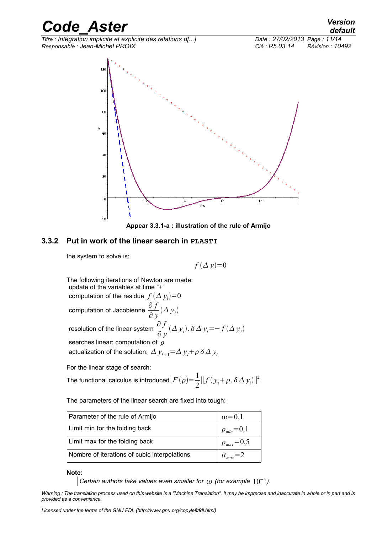*Code\_Aster Version default Titre : Intégration implicite et explicite des relations d[...] Date : 27/02/2013 Page : 11/14*

*Responsable : Jean-Michel PROIX Clé : R5.03.14 Révision : 10492*



<span id="page-10-1"></span>

#### **3.3.2 Put in work of the linear search in PLASTI**

<span id="page-10-0"></span>the system to solve is:

 $f(\Delta y)=0$ 

The following iterations of Newton are made: update of the variables at time "+" computation of the residue  $f\left(\varDelta|y_{i}\right)\!=\!0$ computation of Jacobienne ∂ *f*  $\frac{\partial}{\partial y}(\Delta y_i)$ resolution of the linear system  $\frac{\partial f}{\partial x}$  $\frac{\partial^2 y}{\partial y^i}(\Delta y_i)$ .  $\delta \Delta y_i = -f(\Delta y_i)$ searches linear: computation of  $\rho$ actualization of the solution:  $\Delta y_{i+1} = \Delta y_i + \rho \delta \Delta y_i$ 

For the linear stage of search:

The functional calculus is introduced 
$$
F(\rho) = \frac{1}{2} || f(y_i + \rho \cdot \delta \Delta y_i) ||^2
$$
.

The parameters of the linear search are fixed into tough:

| Parameter of the rule of Armijo              | $\omega$ =0,1           |
|----------------------------------------------|-------------------------|
| Limit min for the folding back               | $\mid \rho_{min} = 0,1$ |
| Limit max for the folding back               | $\varphi_{max} = 0.5$   |
| Nombre of iterations of cubic interpolations | $it_{max}=2$            |

**Note:**

*Certain authors take values even smaller for*  $\omega$  *(for example*  $10^{-4}$ ).

*Warning : The translation process used on this website is a "Machine Translation". It may be imprecise and inaccurate in whole or in part and is provided as a convenience.*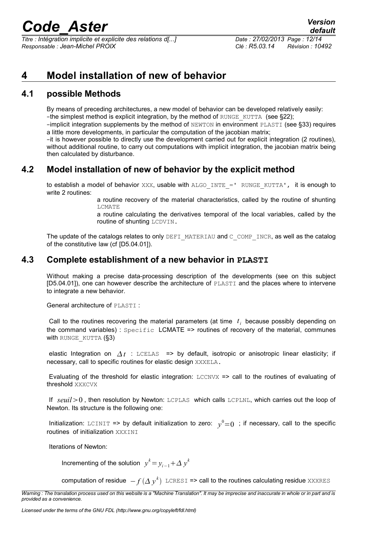*Titre : Intégration implicite et explicite des relations d[...] Date : 27/02/2013 Page : 12/14 Responsable : Jean-Michel PROIX Clé : R5.03.14 Révision : 10492*

#### <span id="page-11-3"></span>**4 Model installation of new of behavior**

#### **4.1 possible Methods**

<span id="page-11-2"></span>By means of preceding architectures, a new model of behavior can be developed relatively easily: -the simplest method is explicit integration, by the method of  $RUNGE$   $KUTTA$  (see §[22\)](#page-3-0);

–implicit integration supplements by the method of NEWTON in environment PLASTI (see §[33\)](#page-6-1) requires a little more developments, in particular the computation of the jacobian matrix;

–it is however possible to directly use the development carried out for explicit integration (2 routines), without additional routine, to carry out computations with implicit integration, the jacobian matrix being then calculated by disturbance.

#### **4.2 Model installation of new of behavior by the explicit method**

<span id="page-11-1"></span>to establish a model of behavior  $XXX$ , usable with  $ALGO$  INTE =' RUNGE KUTTA', it is enough to write 2 routines:

> a routine recovery of the material characteristics, called by the routine of shunting LCMATE

> a routine calculating the derivatives temporal of the local variables, called by the routine of shunting LCDVIN.

The update of the catalogs relates to only DEFI\_MATERIAU and C\_COMP\_INCR, as well as the catalog of the constitutive law (cf [D5.04.01]).

#### **4.3 Complete establishment of a new behavior in PLASTI**

<span id="page-11-0"></span>Without making a precise data-processing description of the developments (see on this subject [D5.04.01]), one can however describe the architecture of PLASTI and the places where to intervene to integrate a new behavior.

General architecture of PLASTI :

Call to the routines recovering the material parameters (at time  $t_i$  because possibly depending on the command variables) : Specific LCMATE => routines of recovery of the material, communes with RUNGE\_KUTTA (§3)

elastic Integration on  $\Delta t$  : LCELAS => by default, isotropic or anisotropic linear elasticity; if necessary, call to specific routines for elastic design XXXELA.

Evaluating of the threshold for elastic integration: LCCNVX => call to the routines of evaluating of threshold XXXCVX

If *seuil* > 0, then resolution by Newton: LCPLAS which calls LCPLNL, which carries out the loop of Newton. Its structure is the following one:

Initialization: LCINIT => by default initialization to zero:  $y^0=0$  ; if necessary, call to the specific routines of initialization XXXINI

Iterations of Newton:

Incrementing of the solution  $y^k = y_{i-1} + \Delta y^k$ 

 $\,$  computation of residue  $\, -f\,(\varDelta\,y^k)\,$  <code>LCRESI</code> => call to the routines calculating residue <code>xxxRES</code>

*Warning : The translation process used on this website is a "Machine Translation". It may be imprecise and inaccurate in whole or in part and is provided as a convenience.*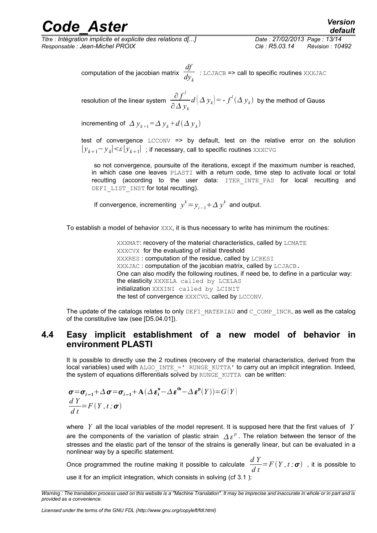*Titre : Intégration implicite et explicite des relations d[...] Date : 27/02/2013 Page : 13/14 Responsable : Jean-Michel PROIX Clé : R5.03.14 Révision : 10492*

### *default*

computation of the jacobian matrix *df*  $\frac{J}{dy_k}$  : LCJACB => call to specific routines XXXJAC

resolution of the linear system  $\frac{\partial f^{\prime}}{\partial x^{i}}$ ∂ *y<sup>k</sup>*  $d\left(\mathit{\Delta} \, y_{k}\right)$  = -  $f^{l}(\mathit{\Delta} \, y_{k})$  by the method of Gauss

incrementing of  $\Delta y_{k+1} = \Delta y_k + d(\Delta y_k)$ 

test of convergence LCCONV => by default, test on the relative error on the solution  $|y_{k+1}-y_{k}|<\varepsilon|y_{k+1}|$ ; if necessary, call to specific routines xxxcvG

so not convergence, poursuite of the iterations, except if the maximum number is reached, in which case one leaves PLASTI with a return code, time step to activate local or total recutting (according to the user data: ITER\_INTE\_PAS for local recutting and DEFI LIST INST for total recutting).

If convergence, incrementing  $y^k = y_{i-1} + \Delta y^k$  and output.

To establish a model of behavior XXX, it is thus necessary to write has minimum the routines:

XXXMAT: recovery of the material characteristics, called by LCMATE XXXCVX for the evaluating of initial threshold XXXRES : computation of the residue, called by LCRESI XXXJAC : computation of the jacobian matrix, called by LCJACB. One can also modify the following routines, if need be, to define in a particular way: the elasticity XXXELA called by LCELAS initialization XXXINI called by LCINIT the test of convergence XXXCVG, called by LCCONV.

<span id="page-12-0"></span>The update of the catalogs relates to only DEFI\_MATERIAU and C\_COMP\_INCR, as well as the catalog of the constitutive law (see [D5.04.01]).

#### **4.4 Easy implicit establishment of a new model of behavior in environment PLASTI**

It is possible to directly use the 2 routines (recovery of the material characteristics, derived from the local variables) used with  $A L GO$  INTE =' RUNGE KUTTA' to carry out an implicit integration. Indeed, the system of equations differentials solved by RUNGE\_KUTTA\_can be written:

$$
\sigma = \sigma_{i-1} + \Delta \sigma = \sigma_{i-1} + A(\Delta \varepsilon_i^n - \Delta \varepsilon^{th} - \Delta \varepsilon^p(Y)) = G(Y)
$$
  

$$
\frac{dY}{dt} = F(Y, t; \sigma)
$$

where *Y* all the local variables of the model represent. It is supposed here that the first values of *Y* are the components of the variation of plastic strain  $\Delta \, \varepsilon^p$  . The relation between the tensor of the stresses and the elastic part of the tensor of the strains is generally linear, but can be evaluated in a nonlinear way by a specific statement.

Once programmed the routine making it possible to calculate  $\frac{dY}{dt}$ *d t*  $=F(Y, t; \sigma)$  , it is possible to use it for an implicit integration, which consists in solving (cf [3.1](#page-6-0) ):

*Warning : The translation process used on this website is a "Machine Translation". It may be imprecise and inaccurate in whole or in part and is provided as a convenience.*